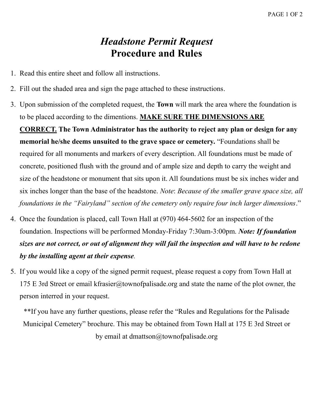## *Headstone Permit Request* **Procedure and Rules**

- 1. Read this entire sheet and follow all instructions.
- 2. Fill out the shaded area and sign the page attached to these instructions.
- 3. Upon submission of the completed request, the **Town** will mark the area where the foundation is to be placed according to the dimentions. **MAKE SURE THE DIMENSIONS ARE CORRECT. The Town Administrator has the authority to reject any plan or design for any memorial he/she deems unsuited to the grave space or cemetery.** "Foundations shall be required for all monuments and markers of every description. All foundations must be made of concrete, positioned flush with the ground and of ample size and depth to carry the weight and size of the headstone or monument that sits upon it. All foundations must be six inches wider and six inches longer than the base of the headstone. *Note*: *Because of the smaller grave space size, all foundations in the "Fairyland" section of the cemetery only require four inch larger dimensions*."
- 4. Once the foundation is placed, call Town Hall at (970) 464-5602 for an inspection of the foundation. Inspections will be performed Monday-Friday 7:30am-3:00pm. *Note: If foundation sizes are not correct, or out of alignment they will fail the inspection and will have to be redone by the installing agent at their expense.*
- 5. If you would like a copy of the signed permit request, please request a copy from Town Hall at 175 E 3rd Street or email kfrasier@townofpalisade.org and state the name of the plot owner, the person interred in your request.

\*\*If you have any further questions, please refer the "Rules and Regulations for the Palisade Municipal Cemetery" brochure. This may be obtained from Town Hall at 175 E 3rd Street or by email at dmattson@townofpalisade.org